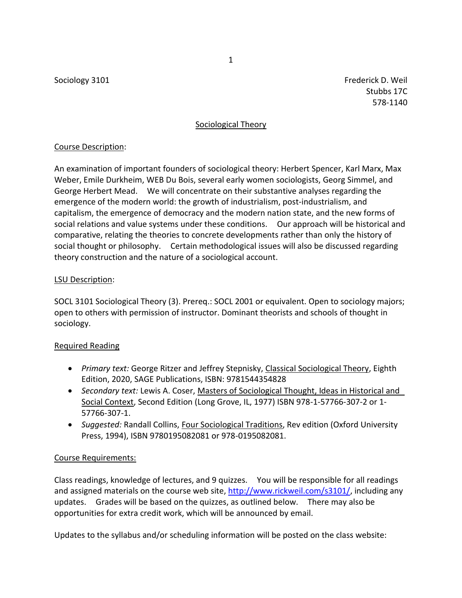Sociology 3101 Frederick D. Weil and Sociology 3101 Stubbs 17C 578-1140

## Sociological Theory

## Course Description:

An examination of important founders of sociological theory: Herbert Spencer, Karl Marx, Max Weber, Emile Durkheim, WEB Du Bois, several early women sociologists, Georg Simmel, and George Herbert Mead. We will concentrate on their substantive analyses regarding the emergence of the modern world: the growth of industrialism, post-industrialism, and capitalism, the emergence of democracy and the modern nation state, and the new forms of social relations and value systems under these conditions. Our approach will be historical and comparative, relating the theories to concrete developments rather than only the history of social thought or philosophy. Certain methodological issues will also be discussed regarding theory construction and the nature of a sociological account.

## LSU Description:

SOCL 3101 Sociological Theory (3). Prereq.: SOCL 2001 or equivalent. Open to sociology majors; open to others with permission of instructor. Dominant theorists and schools of thought in sociology.

## Required Reading

- *Primary text:* George Ritzer and Jeffrey Stepnisky, Classical Sociological Theory, Eighth Edition, 2020, SAGE Publications, ISBN: 9781544354828
- *Secondary text:* Lewis A. Coser, Masters of Sociological Thought, Ideas in Historical and Social Context, Second Edition (Long Grove, IL, 1977) ISBN 978-1-57766-307-2 or 1- 57766-307-1.
- *Suggested:* Randall Collins, Four Sociological Traditions, Rev edition (Oxford University Press, 1994), ISBN 9780195082081 or 978-0195082081.

## Course Requirements:

Class readings, knowledge of lectures, and 9 quizzes. You will be responsible for all readings and assigned materials on the course web site, [http://www.rickweil.com/s3101/,](http://www.rickweil.com/s3101/) including any updates. Grades will be based on the quizzes, as outlined below. There may also be opportunities for extra credit work, which will be announced by email.

Updates to the syllabus and/or scheduling information will be posted on the class website:

1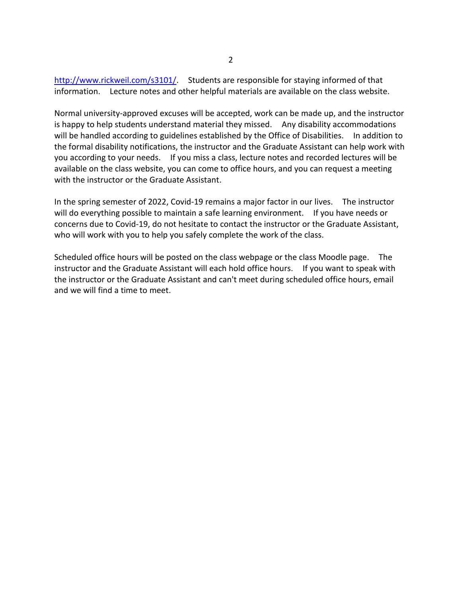[http://www.rickweil.com/s3101/.](http://www.rickweil.com/s3101/) Students are responsible for staying informed of that information. Lecture notes and other helpful materials are available on the class website.

Normal university-approved excuses will be accepted, work can be made up, and the instructor is happy to help students understand material they missed. Any disability accommodations will be handled according to guidelines established by the Office of Disabilities. In addition to the formal disability notifications, the instructor and the Graduate Assistant can help work with you according to your needs. If you miss a class, lecture notes and recorded lectures will be available on the class website, you can come to office hours, and you can request a meeting with the instructor or the Graduate Assistant.

In the spring semester of 2022, Covid-19 remains a major factor in our lives. The instructor will do everything possible to maintain a safe learning environment. If you have needs or concerns due to Covid-19, do not hesitate to contact the instructor or the Graduate Assistant, who will work with you to help you safely complete the work of the class.

Scheduled office hours will be posted on the class webpage or the class Moodle page. The instructor and the Graduate Assistant will each hold office hours. If you want to speak with the instructor or the Graduate Assistant and can't meet during scheduled office hours, email and we will find a time to meet.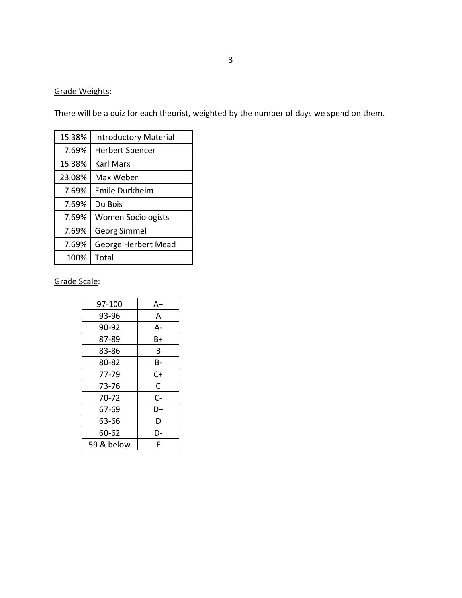# Grade Weights:

There will be a quiz for each theorist, weighted by the number of days we spend on them.

| 15.38% | <b>Introductory Material</b> |  |  |
|--------|------------------------------|--|--|
| 7.69%  | <b>Herbert Spencer</b>       |  |  |
| 15.38% | Karl Marx                    |  |  |
| 23.08% | Max Weber                    |  |  |
| 7.69%  | Emile Durkheim               |  |  |
| 7.69%  | Du Bois                      |  |  |
| 7.69%  | <b>Women Sociologists</b>    |  |  |
| 7.69%  | <b>Georg Simmel</b>          |  |  |
| 7.69%  | George Herbert Mead          |  |  |
| 100%   | Total                        |  |  |

Grade Scale:

| 97-100     | A+ |
|------------|----|
| 93-96      | A  |
| 90-92      | А- |
| 87-89      | Β+ |
| 83-86      | В  |
| 80-82      | B- |
| 77-79      | C+ |
| 73-76      | C  |
| 70-72      | C- |
| 67-69      | D+ |
| 63-66      | D  |
| 60-62      | D- |
| 59 & below | F  |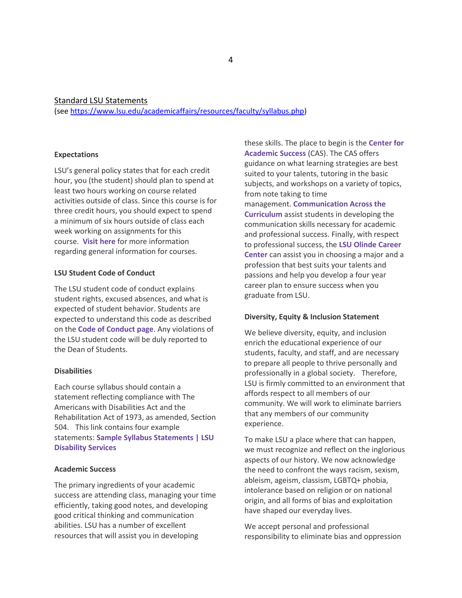Standard LSU Statements

(see [https://www.lsu.edu/academicaffairs/resources/faculty/syllabus.php\)](https://www.lsu.edu/academicaffairs/resources/faculty/syllabus.php)

#### **Expectations**

LSU's general policy states that for each credit hour, you (the student) should plan to spend at least two hours working on course related activities outside of class. Since this course is for three credit hours, you should expect to spend a minimum of six hours outside of class each week working on assignments for this course. **[Visit here](https://catalog.lsu.edu/content.php?catoid=12&navoid=822)** for more information regarding general information for courses.

### **LSU Student Code of Conduct**

The LSU student code of conduct explains student rights, excused absences, and what is expected of student behavior. Students are expected to understand this code as described on the **[Code of Conduct page](https://www.lsu.edu/saa/students/codeofconduct.php)**. Any violations of the LSU student code will be duly reported to the Dean of Students.

#### **Disabilities**

Each course syllabus should contain a statement reflecting compliance with The Americans with Disabilities Act and the Rehabilitation Act of 1973, as amended, Section 504. This link contains four example statements: **[Sample Syllabus Statements | LSU](https://www.lsu.edu/disability/faculty-staff/sample-syllabus-statement.php)  [Disability Services](https://www.lsu.edu/disability/faculty-staff/sample-syllabus-statement.php)**

### **Academic Success**

The primary ingredients of your academic success are attending class, managing your time efficiently, taking good notes, and developing good critical thinking and communication abilities. LSU has a number of excellent resources that will assist you in developing

these skills. The place to begin is the **[Center for](https://www.lsu.edu/cas/)  [Academic Success](https://www.lsu.edu/cas/)** (CAS). The CAS offers guidance on what learning strategies are best suited to your talents, tutoring in the basic subjects, and workshops on a variety of topics, from note taking to time management. **[Communication Across the](http://cxc.lsu.edu/)  [Curriculum](http://cxc.lsu.edu/)** assist students in developing the communication skills necessary for academic and professional success. Finally, with respect to professional success, the **LSU Olinde Career Center** can assist you in choosing a major and a profession that best suits your talents and passions and help you develop a four year career plan to ensure success when you graduate from LSU.

#### **Diversity, Equity & Inclusion Statement**

We believe diversity, equity, and inclusion enrich the educational experience of our students, faculty, and staff, and are necessary to prepare all people to thrive personally and professionally in a global society. Therefore, LSU is firmly committed to an environment that affords respect to all members of our community. We will work to eliminate barriers that any members of our community experience.

To make LSU a place where that can happen, we must recognize and reflect on the inglorious aspects of our history. We now acknowledge the need to confront the ways racism, sexism, ableism, ageism, classism, LGBTQ+ phobia, intolerance based on religion or on national origin, and all forms of bias and exploitation have shaped our everyday lives.

We accept personal and professional responsibility to eliminate bias and oppression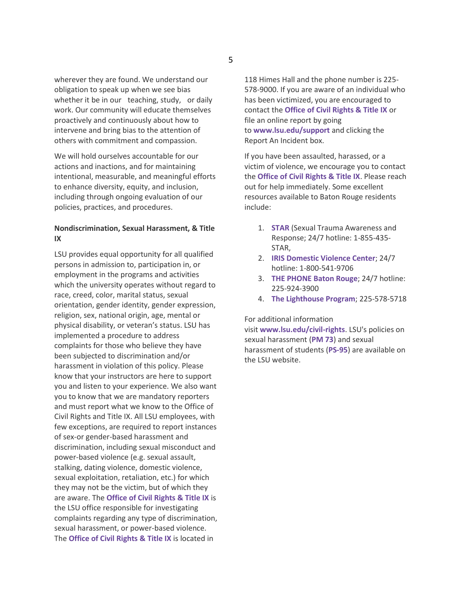wherever they are found. We understand our obligation to speak up when we see bias whether it be in our teaching, study, or daily work. Our community will educate themselves proactively and continuously about how to intervene and bring bias to the attention of others with commitment and compassion.

We will hold ourselves accountable for our actions and inactions, and for maintaining intentional, measurable, and meaningful efforts to enhance diversity, equity, and inclusion, including through ongoing evaluation of our policies, practices, and procedures.

### **Nondiscrimination, Sexual Harassment, & Title IX**

LSU provides equal opportunity for all qualified persons in admission to, participation in, or employment in the programs and activities which the university operates without regard to race, creed, color, marital status, sexual orientation, gender identity, gender expression, religion, sex, national origin, age, mental or physical disability, or veteran's status. LSU has implemented a procedure to address complaints for those who believe they have been subjected to discrimination and/or harassment in violation of this policy. Please know that your instructors are here to support you and listen to your experience. We also want you to know that we are mandatory reporters and must report what we know to the Office of Civil Rights and Title IX. All LSU employees, with few exceptions, are required to report instances of sex-or gender-based harassment and discrimination, including sexual misconduct and power-based violence (e.g. sexual assault, stalking, dating violence, domestic violence, sexual exploitation, retaliation, etc.) for which they may not be the victim, but of which they are aware. The **[Office of Civil Rights & Title IX](https://www.lsu.edu/civil-rights/)** is the LSU office responsible for investigating complaints regarding any type of discrimination, sexual harassment, or power-based violence. The **[Office of Civil Rights & Title IX](https://www.lsu.edu/civil-rights/)** is located in

118 Himes Hall and the phone number is 225- 578-9000. If you are aware of an individual who has been victimized, you are encouraged to contact the **[Office of Civil Rights & Title IX](https://www.lsu.edu/civil-rights/)** or file an online report by going to **[www.lsu.edu/support](http://www.lsu.edu/support)** and clicking the Report An Incident box.

If you have been assaulted, harassed, or a victim of violence, we encourage you to contact the **[Office of Civil Rights & Title IX](https://www.lsu.edu/civil-rights/)**. Please reach out for help immediately. Some excellent resources available to Baton Rouge residents include:

- 1. **[STAR](https://star.ngo/)** (Sexual Trauma Awareness and Response; 24/7 hotline: 1-855-435- STAR,
- 2. **[IRIS Domestic Violence Center](http://www.stopdv.org/)**; 24/7 hotline: 1-800-541-9706
- 3. **THE PHONE [Baton Rouge](https://cicla.org/phone/)**; 24/7 hotline: 225-924-3900
- 4. **[The Lighthouse Program](https://www.lsu.edu/shc/wellness/the-lighthouse-program/index.php)**; 225-578-5718

### For additional information

visit **[www.lsu.edu/civil-rights](https://www.lsu.edu/civil-rights/)**. LSU's policies on sexual harassment (**[PM 73](https://www.lsu.edu/administration/policies/pmfiles/pm-73.pdf)**) and sexual harassment of students (**[PS-95](https://www.lsu.edu/policies/ps/ps_95.pdf)**) are available on the LSU website.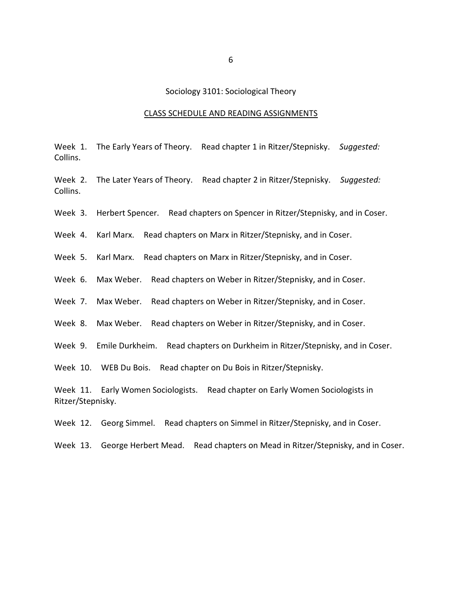### Sociology 3101: Sociological Theory

#### CLASS SCHEDULE AND READING ASSIGNMENTS

Week 1. The Early Years of Theory. Read chapter 1 in Ritzer/Stepnisky. *Suggested:* Collins.

Week 2. The Later Years of Theory. Read chapter 2 in Ritzer/Stepnisky. *Suggested:* Collins.

Week 3. Herbert Spencer. Read chapters on Spencer in Ritzer/Stepnisky, and in Coser.

Week 4. Karl Marx. Read chapters on Marx in Ritzer/Stepnisky, and in Coser.

Week 5. Karl Marx. Read chapters on Marx in Ritzer/Stepnisky, and in Coser.

Week 6. Max Weber. Read chapters on Weber in Ritzer/Stepnisky, and in Coser.

Week 7. Max Weber. Read chapters on Weber in Ritzer/Stepnisky, and in Coser.

Week 8. Max Weber. Read chapters on Weber in Ritzer/Stepnisky, and in Coser.

Week 9. Emile Durkheim. Read chapters on Durkheim in Ritzer/Stepnisky, and in Coser.

Week 10. WEB Du Bois. Read chapter on Du Bois in Ritzer/Stepnisky.

Week 11. Early Women Sociologists. Read chapter on Early Women Sociologists in Ritzer/Stepnisky.

Week 12. Georg Simmel. Read chapters on Simmel in Ritzer/Stepnisky, and in Coser.

Week 13. George Herbert Mead. Read chapters on Mead in Ritzer/Stepnisky, and in Coser.